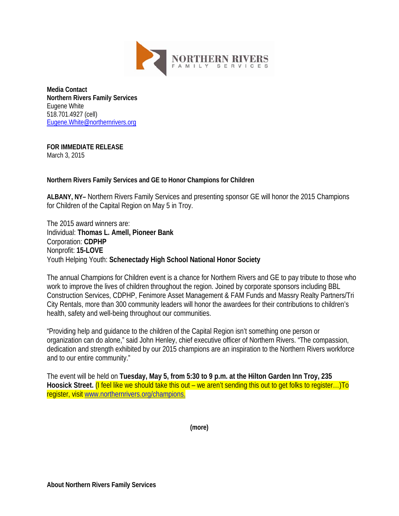

**Media Contact Northern Rivers Family Services** Eugene White 518.701.4927 (cell) [Eugene.White@northernrivers.org](mailto:Eugene.White@northernrivers.org)

## **FOR IMMEDIATE RELEASE**

March 3, 2015

**Northern Rivers Family Services and GE to Honor Champions for Children**

**ALBANY, NY–** Northern Rivers Family Services and presenting sponsor GE will honor the 2015 Champions for Children of the Capital Region on May 5 in Troy.

The 2015 award winners are: Individual: **Thomas L. Amell, Pioneer Bank** Corporation: **CDPHP** Nonprofit: **15-LOVE** Youth Helping Youth: **Schenectady High School National Honor Society**

The annual Champions for Children event is a chance for Northern Rivers and GE to pay tribute to those who work to improve the lives of children throughout the region. Joined by corporate sponsors including BBL Construction Services, CDPHP, Fenimore Asset Management & FAM Funds and Massry Realty Partners/Tri City Rentals, more than 300 community leaders will honor the awardees for their contributions to children's health, safety and well-being throughout our communities.

"Providing help and guidance to the children of the Capital Region isn't something one person or organization can do alone," said John Henley, chief executive officer of Northern Rivers. "The compassion, dedication and strength exhibited by our 2015 champions are an inspiration to the Northern Rivers workforce and to our entire community."

The event will be held on **Tuesday, May 5, from 5:30 to 9 p.m. at the Hilton Garden Inn Troy, 235 Hoosick Street.** (I feel like we should take this out – we aren't sending this out to get folks to register…)To register, visit [www.northernrivers.org/champions.](http://www.northernrivers.org/champions)

**(more)**